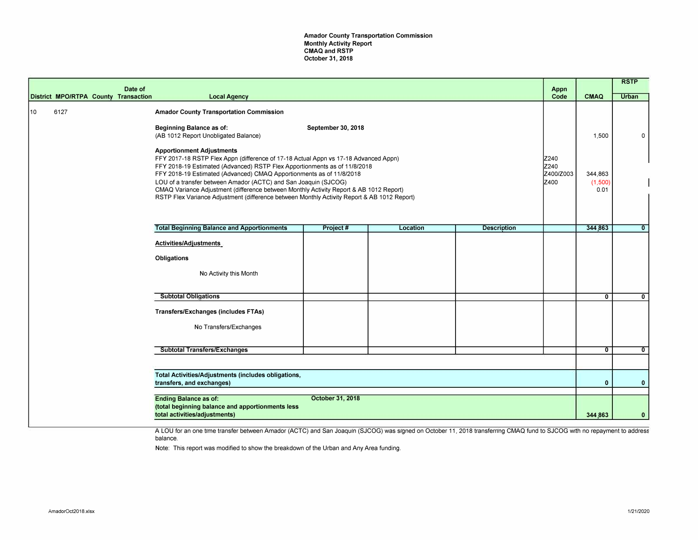Amador County Transportation Commission Monthly Activity Report CMAQ and RSTP October 31, 2018

|    |                                                                                                                                       |  | Date of<br>District MPO/RTPA County Transaction | <b>Local Agency</b>                                                                                                                                                                                                                                                                                                                                                                                                                                                                                                                                                                                                                                                                  |          |          |                    | Appn<br>Code              | <b>CMAQ</b>      | <b>RSTP</b><br><b>Urban</b> |
|----|---------------------------------------------------------------------------------------------------------------------------------------|--|-------------------------------------------------|--------------------------------------------------------------------------------------------------------------------------------------------------------------------------------------------------------------------------------------------------------------------------------------------------------------------------------------------------------------------------------------------------------------------------------------------------------------------------------------------------------------------------------------------------------------------------------------------------------------------------------------------------------------------------------------|----------|----------|--------------------|---------------------------|------------------|-----------------------------|
| 10 | 6127                                                                                                                                  |  |                                                 | <b>Amador County Transportation Commission</b><br>Beginning Balance as of:<br>September 30, 2018<br>(AB 1012 Report Unobligated Balance)<br><b>Apportionment Adjustments</b><br>FFY 2017-18 RSTP Flex Appn (difference of 17-18 Actual Appn vs 17-18 Advanced Appn)<br>FFY 2018-19 Estimated (Advanced) RSTP Flex Apportionments as of 11/8/2018<br>FFY 2018-19 Estimated (Advanced) CMAQ Apportionments as of 11/8/2018<br>LOU of a transfer between Amador (ACTC) and San Joaquin (SJCOG)<br>CMAQ Variance Adjustment (difference between Monthly Activity Report & AB 1012 Report)<br>RSTP Flex Variance Adjustment (difference between Monthly Activity Report & AB 1012 Report) |          |          |                    | Z240<br>Z240<br>Z400/Z003 | 1,500<br>344,863 | 0                           |
|    |                                                                                                                                       |  |                                                 |                                                                                                                                                                                                                                                                                                                                                                                                                                                                                                                                                                                                                                                                                      |          |          |                    | Iz400                     | (1,500)<br>0.01  |                             |
|    |                                                                                                                                       |  |                                                 | <b>Total Beginning Balance and Apportionments</b>                                                                                                                                                                                                                                                                                                                                                                                                                                                                                                                                                                                                                                    | Project# | Location | <b>Description</b> |                           | 344,863          | $\overline{0}$              |
|    |                                                                                                                                       |  |                                                 | Activities/Adjustments<br><b>Obligations</b>                                                                                                                                                                                                                                                                                                                                                                                                                                                                                                                                                                                                                                         |          |          |                    |                           |                  |                             |
|    |                                                                                                                                       |  |                                                 | No Activity this Month                                                                                                                                                                                                                                                                                                                                                                                                                                                                                                                                                                                                                                                               |          |          |                    |                           |                  |                             |
|    |                                                                                                                                       |  |                                                 | <b>Subtotal Obligations</b>                                                                                                                                                                                                                                                                                                                                                                                                                                                                                                                                                                                                                                                          |          |          |                    |                           | $\mathbf{0}$     | $\mathbf{0}$                |
|    |                                                                                                                                       |  |                                                 | <b>Transfers/Exchanges (includes FTAs)</b><br>No Transfers/Exchanges                                                                                                                                                                                                                                                                                                                                                                                                                                                                                                                                                                                                                 |          |          |                    |                           |                  |                             |
|    |                                                                                                                                       |  |                                                 | <b>Subtotal Transfers/Exchanges</b>                                                                                                                                                                                                                                                                                                                                                                                                                                                                                                                                                                                                                                                  |          |          |                    |                           | $\overline{0}$   | $\overline{0}$              |
|    |                                                                                                                                       |  |                                                 |                                                                                                                                                                                                                                                                                                                                                                                                                                                                                                                                                                                                                                                                                      |          |          |                    |                           |                  |                             |
|    |                                                                                                                                       |  |                                                 | Total Activities/Adjustments (includes obligations,<br>transfers, and exchanges)                                                                                                                                                                                                                                                                                                                                                                                                                                                                                                                                                                                                     |          |          |                    |                           | $\Omega$         | $\mathbf{0}$                |
|    | October 31, 2018<br><b>Ending Balance as of:</b><br>(total beginning balance and apportionments less<br>total activities/adjustments) |  |                                                 |                                                                                                                                                                                                                                                                                                                                                                                                                                                                                                                                                                                                                                                                                      |          |          |                    | 344,863                   | $\mathbf{0}$     |                             |
|    |                                                                                                                                       |  |                                                 |                                                                                                                                                                                                                                                                                                                                                                                                                                                                                                                                                                                                                                                                                      |          |          |                    |                           |                  |                             |

A LOU for an one time transfer between Amador (ACTC) and San Joaquin (SJCOG) was signed on October 11, 2018 transferring CMAQ fund to SJCOG with no repayment to address balance.

Note: This report was modified to show the breakdown of the Urban and Any Area funding.